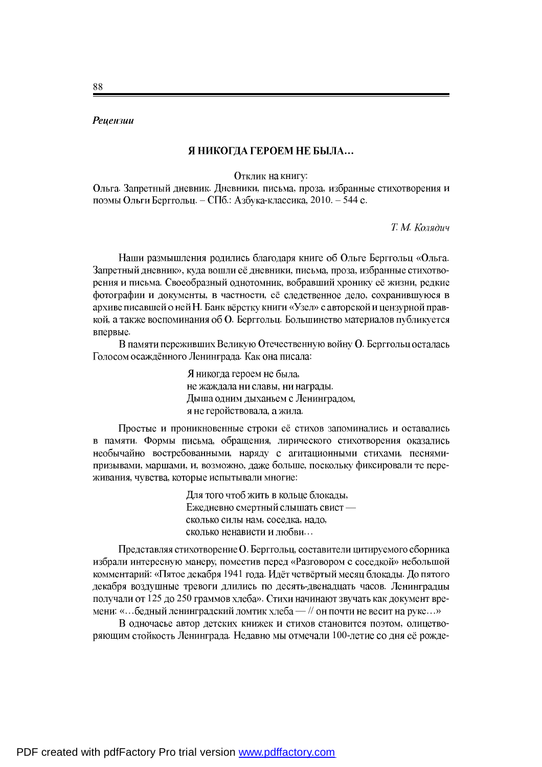## **Рецензии**

## Я НИКОГДА ГЕРОЕМ НЕ БЫЛА...

Отклик на книгу:

Ольга. Запретный дневник. Дневники, письма, проза, избранные стихотворения и поэмы Ольги Берггольц. - СПб.: Азбука-классика, 2010. - 544 с.

*Т. М. Колядич* 

Наши размышления родились благодаря книге об Ольге Берггольц «Ольга. Запретный дневник», куда вошли её дневники, письма, проза, избранные стихотворения и письма. Своеобразный однотомник, вобравший хронику её жизни, редкие фотографии и документы, в частности, её следственное дело, сохранившуюся в архиве писавшей о ней Н. Банк вёрстку книги «Узел» с авторской и цензурной правкой, а также воспоминания об О. Берггольц. Большинство материалов публикуется впервые.

В памяти переживших Великую Отечественную войну О. Берггольц осталась Голосом осаждённого Ленинграда. Как она писала:

> Я никогда героем не была, не жаждала ни славы, ни награды. Дыша одним дыханьем с Ленинградом, я не геройствовала, а жила.

Простые и проникновенные строки её стихов запоминались и оставались в памяти. Формы письма, обращения, лирического стихотворения оказались необычайно востребованными, наряду с агитационными стихами, песнямипризывами, маршами, и, возможно, даже больше, поскольку фиксировали те переживания, чувства, которые испытывали многие:

> Для того чтоб жить в кольце блокады, Ежедневно смертный слышать свист сколько силы нам, соседка, надо, сколько ненависти и любви...

Представляя стихотворение О. Берггольц, составители цитируемого сборника избрали интересную манеру, поместив перед «Разговором с соседкой» небольшой комментарий: «Пятое декабря 1941 года. Идёт четвёртый месяц блокады. До пятого декабря воздушные тревоги длились по десять-двенадцать часов. Ленинградцы получали от 125 до 250 граммов хлеба». Стихи начинают звучать как документ времени: «... бедный ленинградский ломтик хлеба — // он почти не весит на руке...»

В одночасье автор детских книжек и стихов становится поэтом, олицетворяющим стойкость Ленинграда. Недавно мы отмечали 100-летие со дня её рожде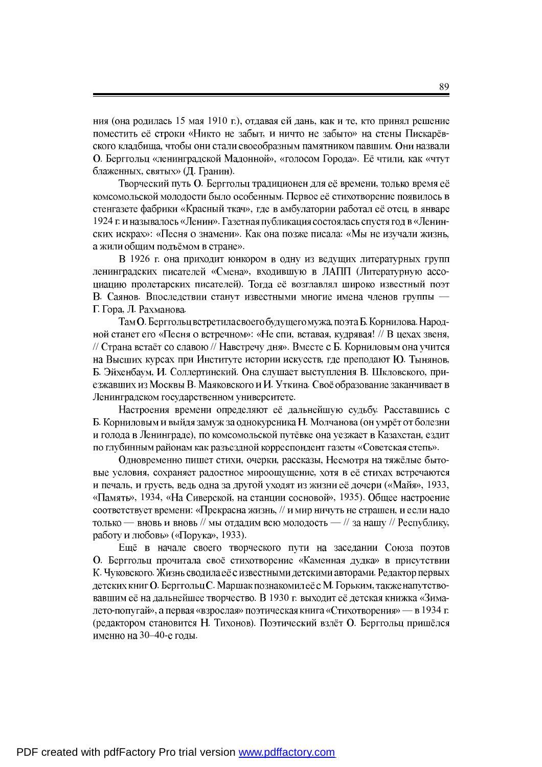ния (она родилась 15 мая 1910 г.), отдавая ей дань, как и те, кто принял решение поместить её строки «Никто не забыт, и ничто не забыто» на стены Пискарёвского кладбища, чтобы они стали своеобразным памятником павшим. Они назвали О. Берггольц «ленинградской Мадонной», «голосом Города». Её чтили, как «чтут блаженных, святых» (Д. Гранин).

Творческий путь О. Берггольц традиционен для её времени, только время её комсомольской молодости было особенным. Первое её стихотворение появилось в стенгазете фабрики «Красный ткач», где в амбулатории работал её отец, в январе 1924 г. и называлось «Ленин». Газетная публикация состоялась спустя год в «Ленинских искрах»: «Песня о знамени». Как она позже писала: «Мы не изучали жизнь, а жили общим подъёмом в стране».

В 1926 г. она приходит юнкором в одну из ведущих литературных групп ленинградских писателей «Смена», входившую в ЛАПП (Литературную accoциацию пролетарских писателей). Тогда её возглавлял широко известный поэт В. Саянов. Впоследствии станут известными многие имена членов группы -Г. Гора, Л. Рахманова.

Там О. Берггольц встретила своего будущего мужа, поэта Б. Корнилова. Народной станет его «Песня о встречном»: «Не спи, вставая, кудрявая! // В цехах звеня, // Страна встаёт со славою // Навстречу дня». Вместе с Б. Корниловым она учится на Высших курсах при Институте истории искусств, где преподают Ю. Тынянов, Б. Эйхенбаум, И. Соллертинский. Она слушает выступления В. Шкловского, приезжавших из Москвы В. Маяковского и И. Уткина. Своё образование заканчивает в Ленинградском государственном университете.

Настроения времени определяют её дальнейшую судьбу. Расставшись с Б. Корниловым и выйдя замуж за однокурсника Н. Молчанова (он умрёт от болезни и голода в Ленинграде), по комсомольской путёвке она уезжает в Казахстан. ездит по глубинным районам как разъездной корреспондент газеты «Советская степь».

Одновременно пишет стихи, очерки, рассказы, Несмотря на тяжёлые бытовые условия, сохраняет радостное мироощущение, хотя в её стихах встречаются и печаль, и грусть, ведь одна за другой уходят из жизни её дочери («Майя», 1933, «Память», 1934, «На Сиверской, на станции сосновой», 1935). Общее настроение соответствует времени: «Прекрасна жизнь, // и мир ничуть не страшен, и если надо только — вновь и вновь // мы отдадим всю молодость - // за нашу // Республику, работу и любовь» («Порука», 1933).

Ещё в начале своего творческого пути на заседании Союза поэтов О. Берггольц прочитала своё стихотворение «Каменная дудка» в присутствии К. Чуковского. Жизнь сводила её с известными детскими авторами. Редактор первых детских книг О. Берггольц С. Маршак познакомил её с М. Горьким, также напутствовавшим её на дальнейшее творчество. В 1930 г. выходит её детская книжка «Зималето-попугай», а первая «взрослая» поэтическая книга «Стихотворения» — в 1934 г. (редактором становится Н. Тихонов). Поэтический взлёт О. Берггольц пришёлся именно на 30-40-е годы.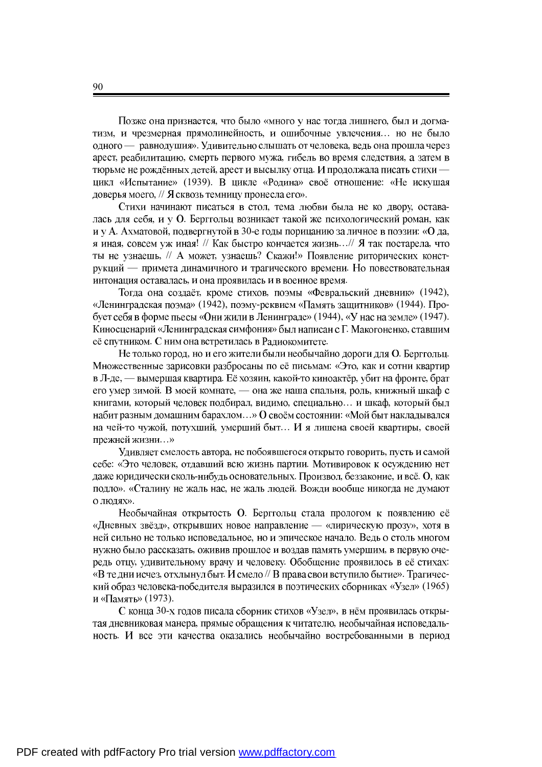Позже она признается, что было «много у нас тогда лишнего, был и догматизм, и чрезмерная прямолинейность, и ошибочные увлечения... но не было одного — равнодушия». Удивительно слышать от человека, ведь она прошла через арест, реабилитацию, смерть первого мужа, гибель во время следствия, а затем в тюрьме не рождённых детей, арест и высылку отца. И продолжала писать стихи цикл «Испытание» (1939). В цикле «Родина» своё отношение: «Не искушая доверья моего, // Я сквозь темницу пронесла его».

Стихи начинают писаться в стол, тема любви была не ко двору, оставалась для себя, и у О. Берггольц возникает такой же психологический роман, как и у А. Ахматовой, подвергнутой в 30-е годы порицанию за личное в поэзии: «О да, я иная, совсем уж иная! // Как быстро кончается жизнь...// Я так постарела, что ты не узнаешь, // А может, узнаешь? Скажи!» Появление риторических конструкций — примета динамичного и трагического времени. Но повествовательная интонация оставалась, и она проявилась и в военное время.

Тогда она создаёт, кроме стихов, поэмы «Февральский дневник» (1942), «Ленинградская поэма» (1942), поэму-реквием «Память защитников» (1944). Пробует себя в форме пьесы «Они жили в Ленинграде» (1944), «У нас на земле» (1947). Киносценарий «Ленинградская симфония» был написан с Г. Макогоненко, ставшим её спутником. С ним она встретилась в Радиокомитете.

Не только город, но и его жители были необычайно дороги для О. Берггольц. Множественные зарисовки разбросаны по её письмам: «Это, как и сотни квартир в Л-де, — вымершая квартира. Её хозяин, какой-то киноактёр, убит на фронте, брат его умер зимой. В моей комнате, - она же наша спальня, роль, книжный шкаф с книгами, который человек подбирал, видимо, специально... и шкаф, который был набит разным домашним барахлом...» О своём состоянии: «Мой быт накладывался на чей-то чужой, потухший, умерший быт... И я лишена своей квартиры, своей прежней жизни...»

Удивляет смелость автора, не побоявшегося открыто говорить, пусть и самой себе: «Это человек, отдавший всю жизнь партии. Мотивировок к осуждению нет даже юридически сколь-нибудь основательных. Произвол, беззаконие, и всё. О, как подло». «Сталину не жаль нас, не жаль людей. Вожди вообще никогда не думают о людях».

Необычайная открытость О. Берггольц стала прологом к появлению её «Дневных звёзд», открывших новое направление — «лирическую прозу», хотя в ней сильно не только исповедальное, но и эпическое начало. Ведь о столь многом нужно было рассказать, оживив прошлое и воздав память умершим, в первую очередь отцу, удивительному врачу и человеку. Обобщение проявилось в её стихах: «В те дни исчез, отхлынул быт. И смело // В права свои вступило бытие». Трагический образ человека-победителя выразился в поэтических сборниках «Узел» (1965) и «Память» (1973).

С конца 30-х годов писала сборник стихов «Узел», в нём проявилась открытая дневниковая манера, прямые обращения к читателю, необычайная исповедальность. И все эти качества оказались необычайно востребованными в период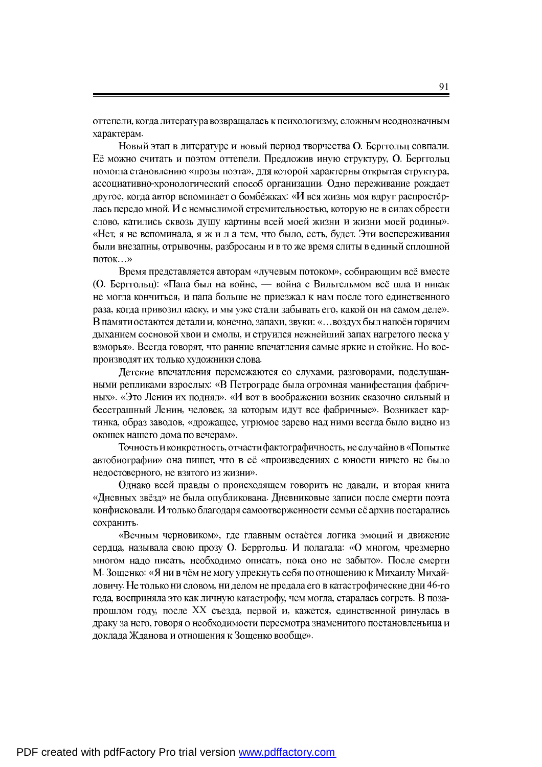оттепели, когда литература возвращалась к психологизму, сложным неоднозначным характерам.

Новый этап в литературе и новый период творчества О. Берггольц совпали. Её можно считать и поэтом оттепели. Предложив иную структуру, О. Берггольц помогла становлению «прозы поэта», для которой характерны открытая структура, ассоциативно-хронологический способ организации. Одно переживание рождает другое, когда автор вспоминает о бомбёжках: «И вся жизнь моя вдруг распростёрлась передо мной. И с немыслимой стремительностью, которую не в силах обрести слово, катились сквозь душу картины всей моей жизни и жизни моей родины». «Нет, я не вспоминала, я ж и л а тем, что было, есть, будет. Эти воспереживания были внезапны, отрывочны, разбросаны и в то же время слиты в единый сплошной  $\overline{\text{NOTOK}}$ ... »

Время представляется авторам «лучевым потоком», собирающим всё вместе (О. Берггольц): «Папа был на войне, — война с Вильгельмом всё шла и никак не могла кончиться, и папа больше не приезжал к нам после того единственного раза, когда привозил каску, и мы уже стали забывать его, какой он на самом деле». В памяти остаются детали и, конечно, запахи, звуки: «... воздух был напоён горячим дыханием сосновой хвои и смолы, и струился нежнейший запах нагретого песка у взморья». Всегда говорят, что ранние впечатления самые яркие и стойкие. Но воспроизводят их только художники слова.

Детские впечатления перемежаются со слухами, разговорами, подслушанными репликами взрослых: «В Петрограде была огромная манифестация фабричных». «Это Ленин их поднял». «И вот в воображении возник сказочно сильный и бесстрашный Ленин, человек, за которым идут все фабричные». Возникает картинка, образ заводов, «дрожащее, угрюмое зарево над ними всегда было видно из окошек нашего дома по вечерам».

Точность и конкретность, отчасти фактографичность, не случайно в «Попытке автобиографии» она пишет, что в её «произведениях с юности ничего не было недостоверного, не взятого из жизни».

Однако всей правды о происходящем говорить не давали, и вторая книга «Дневных звёзд» не была опубликована. Дневниковые записи после смерти поэта конфисковали. И только благодаря самоотверженности семьи её архив постарались сохранить.

«Вечным черновиком», где главным остаётся логика эмоций и движение сердца, называла свою прозу О. Берргольц. И полагала: «О многом, чрезмерно многом надо писать, необходимо описать, пока оно не забыто». После смерти М. Зощенко: «Я ни в чём не могу упрекнуть себя по отношению к Михаилу Михайловичу. Не только ни словом, ни делом не предала его в катастрофические дни 46-го года, восприняла это как личную катастрофу, чем могла, старалась согреть. В позапрошлом году, после XX съезда, первой и, кажется, единственной ринулась в драку за него, говоря о необходимости пересмотра знаменитого постановленьица и доклада Жданова и отношения к Зощенко вообще».